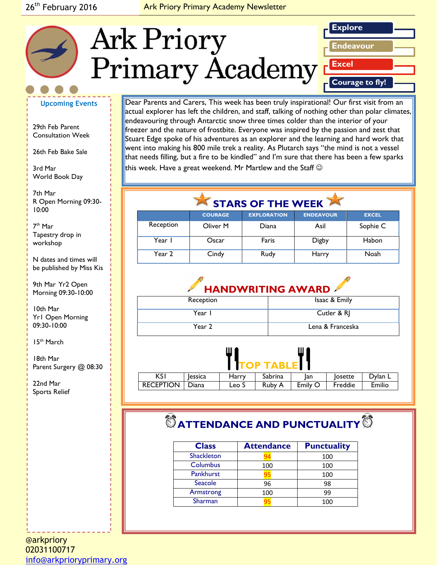#### 26<sup>th</sup> February 2016 **Ark Priory Primary Academy Newsletter**



#### **Upcoming Events**

29th Feb Parent Consultation Week

26th Feb Bake Sale

3rd Mar World Book Day

*Caption describing*  R Open Morning 09:30 *picture or graphic.* 7th Mar 10:00

7 th Mar Tapestry drop in workshop

N dates and times will be published by Miss Kis

9th Mar Yr2 Open Morning 09:30-10:00

10th Mar Yr1 Open Morning 09:30-10:00

15th March

18th Mar Parent Surgery @ 08:30

22nd Mar Sports Relief Dear Parents and Carers, This week has been truly inspirational! Our first visit from an actual explorer has left the children, and staff, talking of nothing other than polar climates, endeavouring through Antarctic snow three times colder than the interior of your freezer and the nature of frostbite. Everyone was inspired by the passion and zest that Stuart Edge spoke of his adventures as an explorer and the learning and hard work that went into making his 800 mile trek a reality. As Plutarch says "the mind is not a vessel that needs filling, but a fire to be kindled" and I'm sure that there has been a few sparks this week. Have a great weekend. Mr Martlew and the Staff  $\odot$ 

STARS OF THE WEEK

|           | <b>COURAGE</b> | <b>EXPLORATION</b> | <b>ENDEAVOUR</b> | <b>EXCEL</b> |
|-----------|----------------|--------------------|------------------|--------------|
| Reception | Oliver M       | Diana              | Asil             | Sophie C     |
| Year I    | Oscar          | Faris              | Digby            | Habon        |
| Year 2    | Cindy          | Rudy               | Harry            | Noah         |



| Reception | Isaac & Emily    |
|-----------|------------------|
| Year I    | Cutler & RJ      |
| Year 2    | Lena & Franceska |



| <b>RECEPTION</b><br>Emilio<br>Emily O<br>Freddie<br>Ruby<br>הana<br>Leo S | KS I | lessica | Harry | Sabrina | Ian | losette | Dylan L |
|---------------------------------------------------------------------------|------|---------|-------|---------|-----|---------|---------|
|                                                                           |      |         |       |         |     |         |         |

# $^\circledR$  ATTENDANCE AND PUNCTUALITY<sup>1</sup>

| <b>Class</b>      | <b>Attendance</b> | <b>Punctuality</b> |
|-------------------|-------------------|--------------------|
| <b>Shackleton</b> |                   | 100                |
| Columbus          | 100               | 100                |
| <b>Pankhurst</b>  |                   | 100                |
| Seacole           | 96                | 98                 |
| Armstrong         | 100               | 99                 |
| Sharman           |                   | 100                |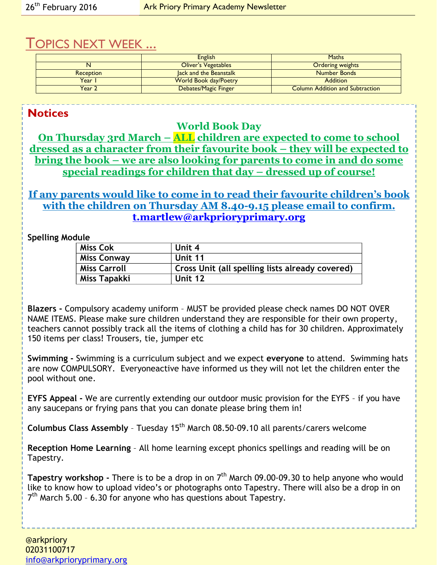# TOPICS NEXT WEEK ...

|                  | <b>English</b>               | <b>Maths</b>                           |
|------------------|------------------------------|----------------------------------------|
|                  | <b>Oliver's Vegetables</b>   | <b>Ordering weights</b>                |
| <b>Reception</b> | lack and the Beanstalk       | Number Bonds                           |
| Year I           | <b>World Book day/Poetry</b> | <b>Addition</b>                        |
| Year 2           | Debates/Magic Finger         | <b>Column Addition and Subtraction</b> |

**Notices**

**World Book Day**

**On Thursday 3rd March – ALL children are expected to come to school dressed as a character from their favourite book – they will be expected to bring the book – we are also looking for parents to come in and do some special readings for children that day – dressed up of course!**

### **If any parents would like to come in to read their favourite children's book with the children on Thursday AM 8.40-9.15 please email to confirm. [t.martlew@arkprioryprimary.org](mailto:t.martlew@arkprioryprimary.org)**

**Spelling Module**

| <b>Miss Cok</b>     | Unit 4                                          |
|---------------------|-------------------------------------------------|
| <b>Miss Conway</b>  | Unit 11                                         |
| <b>Miss Carroll</b> | Cross Unit (all spelling lists already covered) |
| Miss Tapakki        | Unit 12                                         |

**Blazers -** Compulsory academy uniform – MUST be provided please check names DO NOT OVER NAME ITEMS. Please make sure children understand they are responsible for their own property, teachers cannot possibly track all the items of clothing a child has for 30 children. Approximately 150 items per class! Trousers, tie, jumper etc

**Swimming -** Swimming is a curriculum subject and we expect **everyone** to attend. Swimming hats are now COMPULSORY. Everyoneactive have informed us they will not let the children enter the pool without one.

**EYFS Appeal -** We are currently extending our outdoor music provision for the EYFS – if you have any saucepans or frying pans that you can donate please bring them in!

**Columbus Class Assembly** – Tuesday 15th March 08.50-09.10 all parents/carers welcome

**Reception Home Learning** – All home learning except phonics spellings and reading will be on Tapestry.

**Tapestry workshop -** There is to be a drop in on 7th March 09.00-09.30 to help anyone who would like to know how to upload video's or photographs onto Tapestry. There will also be a drop in on  $7<sup>th</sup>$  March 5.00 - 6.30 for anyone who has questions about Tapestry.

@arkpriory 02031100717 [info@arkprioryprimary.org](mailto:info@arkprioryprimary.org)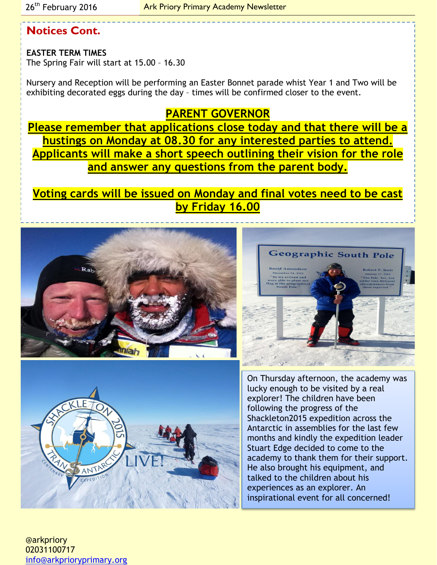## **Notices Cont.**

**EASTER TERM TIMES** The Spring Fair will start at 15.00 – 16.30

Nursery and Reception will be performing an Easter Bonnet parade whist Year 1 and Two will be exhibiting decorated eggs during the day – times will be confirmed closer to the event.

### **PARENT GOVERNOR**

**Please remember that applications close today and that there will be a hustings on Monday at 08.30 for any interested parties to attend. Applicants will make a short speech outlining their vision for the role and answer any questions from the parent body.**

**Voting cards will be issued on Monday and final votes need to be cast by Friday 16.00**







On Thursday afternoon, the academy was lucky enough to be visited by a real explorer! The children have been following the progress of the Shackleton2015 expedition across the Antarctic in assemblies for the last few months and kindly the expedition leader Stuart Edge decided to come to the academy to thank them for their support. He also brought his equipment, and talked to the children about his experiences as an explorer. An inspirational event for all concerned!

@arkpriory 02031100717 [info@arkprioryprimary.org](mailto:info@arkprioryprimary.org)